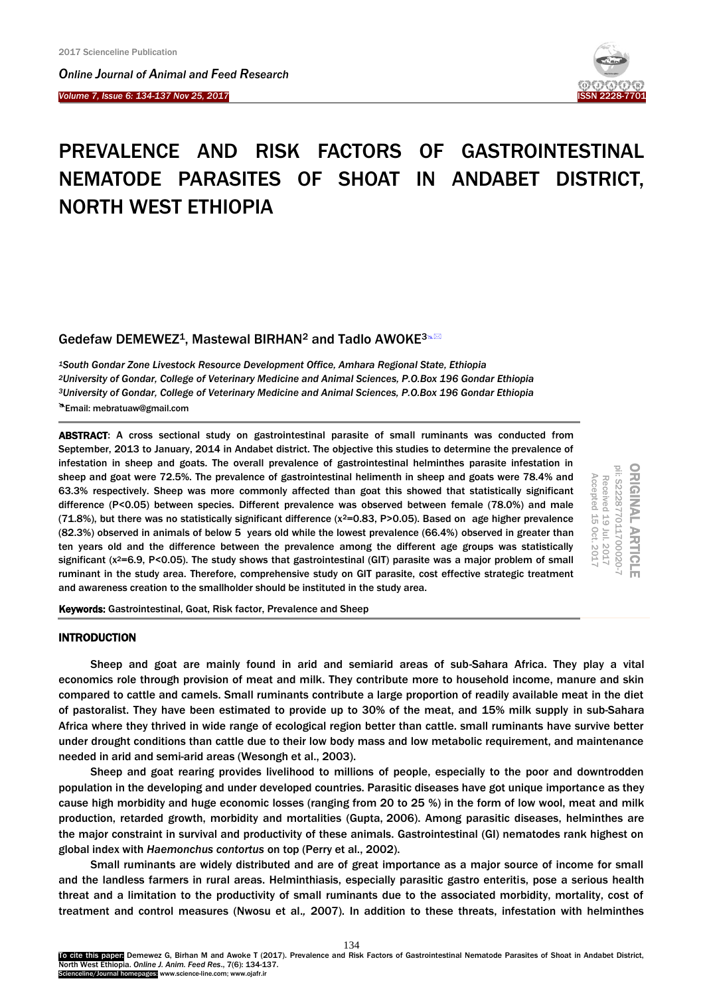*Online Journal of A[nimal and](http://www.ojafr.ir/main/) Feed Research*

*Volume 7, Issue 6: 134-137 Nov 25, 2017* I



# PREVALENCE AND RISK FACTORS OF GASTROINTESTINAL NEMATODE PARASITES OF SHOAT IN ANDABET DISTRICT, NORTH WEST ETHIOPIA

# Gedefaw DEMEWEZ<sup>1</sup>, Mastewal BIRHAN<sup>2</sup> and Tadlo AWOKE<sup>3×22</sup>

*South Gondar Zone Livestock Resource Development Office, Amhara Regional State, Ethiopia University of Gondar, College of Veterinary Medicine and Animal Sciences, P.O.Box 196 Gondar Ethiopia University of Gondar, College of Veterinary Medicine and Animal Sciences, P.O.Box 196 Gondar Ethiopia* **A** Email: mebratuaw@gmail.com

ABSTRACT: A cross sectional study on gastrointestinal parasite of small ruminants was conducted from September, 2013 to January, 2014 in Andabet district. The objective this studies to determine the prevalence of infestation in sheep and goats. The overall prevalence of gastrointestinal helminthes parasite infestation in sheep and goat were 72.5%. The prevalence of gastrointestinal helimenth in sheep and goats were 78.4% and 63.3% respectively. Sheep was more commonly affected than goat this showed that statistically significant difference (P<0.05) between species. Different prevalence was observed between female (78.0%) and male (71.8%), but there was no statistically significant difference ( $x^2$ =0.83, P>0.05). Based on age higher prevalence (82.3%) observed in animals of below 5 years old while the lowest prevalence (66.4%) observed in greater than ten years old and the difference between the prevalence among the different age groups was statistically significant (x<sup>2</sup>=6.9, P<0.05). The study shows that gastrointestinal (GIT) parasite was a major problem of small ruminant in the study area. Therefore, comprehensive study on GIT parasite, cost effective strategic treatment and awareness creation to the smallholder should be instituted in the study area.

ORIGINAL ARTICLE<br>pii: S222877011700020-7 Received 19 Jul. 2017<br>Received 19 Jul. 2017 Accepted 15 Oct. Accepted 15 Received 19 Jul. 2017 Oct. 2017 2017

Keywords: Gastrointestinal, Goat, Risk factor, Prevalence and Sheep

# **INTRODUCTION**

Sheep and goat are mainly found in arid and semiarid areas of sub-Sahara Africa. They play a vital economics role through provision of meat and milk. They contribute more to household income, manure and skin compared to cattle and camels. Small ruminants contribute a large proportion of readily available meat in the diet of pastoralist. They have been estimated to provide up to 30% of the meat, and 15% milk supply in sub-Sahara Africa where they thrived in wide range of ecological region better than cattle. small ruminants have survive better under drought conditions than cattle due to their low body mass and low metabolic requirement, and maintenance needed in arid and semi-arid areas [\(Wesongh et al., 2003\).](#page-3-0) 

Sheep and goat rearing provides livelihood to millions of people, especially to the poor and downtrodden population in the developing and under developed countries. Parasitic diseases have got unique importance as they cause high morbidity and huge economic losses (ranging from 20 to 25 %) in the form of low wool, meat and milk production, retarded growth, morbidity and mortalities [\(Gupta,](#page-3-0) [2006\)](https://www.ncbi.nlm.nih.gov/pmc/articles/PMC3590375/#CR5). Among parasitic diseases, helminthes are the major constraint in survival and productivity of these animals. Gastrointestinal (GI) nematodes rank highest on global index with *Haemonchus contortus* on top [\(Perry et al.,](#page-3-0) [2002\)](https://www.ncbi.nlm.nih.gov/pmc/articles/PMC3590375/#CR15).

Small ruminants are widely distributed and are of great importance as a major source of income for small and the landless farmers in rural areas. Helminthiasis, especially parasitic gastro enteritis, pose a serious health threat and a limitation to the productivity of small ruminants due to the associated morbidity, mortality, cost of treatment and control measures [\(Nwosu et al.](#page-3-0)*,* 2007). In addition to these threats, infestation with helminthes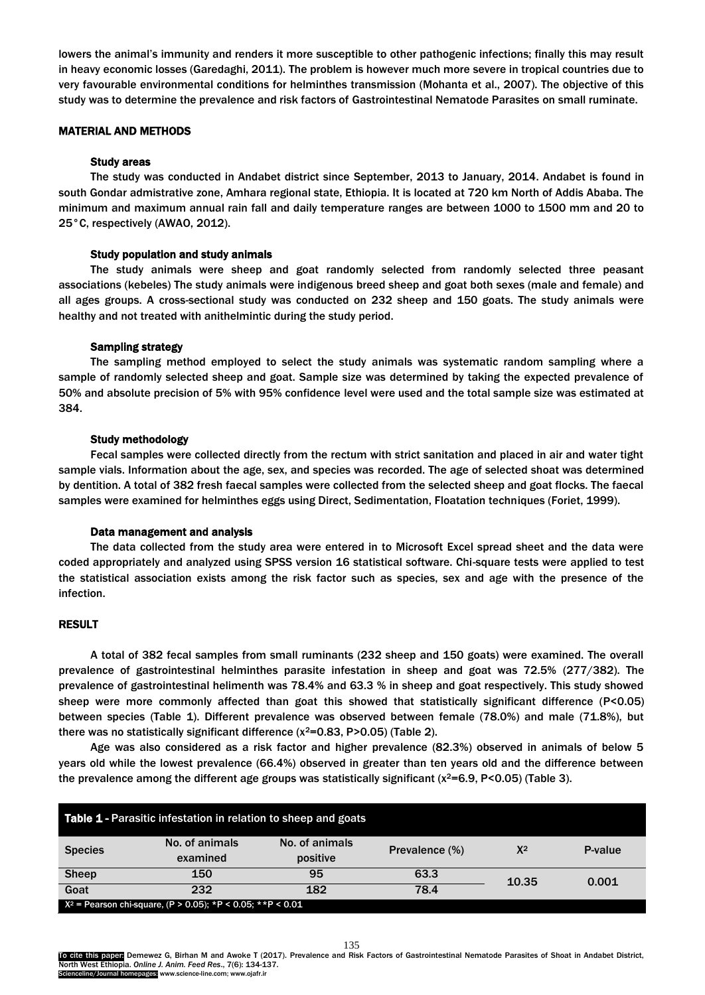lowers the animal's immunity and renders it more susceptible to other pathogenic infections; finally this may result in heavy economic losses [\(Garedaghi, 2011\).](#page-3-0) The problem is however much more severe in tropical countries due to very favourable environmental conditions for helminthes transmission ([Mohanta et al., 2007\).](#page-3-0) The objective of this study was to determine the prevalence and risk factors of Gastrointestinal Nematode Parasites on small ruminate.

# MATERIAL AND METHODS

# Study areas

The study was conducted in Andabet district since September, 2013 to January, 2014. Andabet is found in south Gondar admistrative zone, Amhara regional state, Ethiopia. It is located at 720 km North of Addis Ababa. The minimum and maximum annual rain fall and daily temperature ranges are between 1000 to 1500 mm and 20 to 25°C, respectively [\(AWAO,](#page-3-0) 2012).

## Study population and study animals

The study animals were sheep and goat randomly selected from randomly selected three peasant associations (kebeles) The study animals were indigenous breed sheep and goat both sexes (male and female) and all ages groups. A cross-sectional study was conducted on 232 sheep and 150 goats. The study animals were healthy and not treated with anithelmintic during the study period.

#### Sampling strategy

The sampling method employed to select the study animals was systematic random sampling where a sample of randomly selected sheep and goat. Sample size was determined by taking the expected prevalence of 50% and absolute precision of 5% with 95% confidence level were used and the total sample size was estimated at 384.

## Study methodology

Fecal samples were collected directly from the rectum with strict sanitation and placed in air and water tight sample vials. Information about the age, sex, and species was recorded. The age of selected shoat was determined by dentition. A total of 382 fresh faecal samples were collected from the selected sheep and goat flocks. The faecal samples were examined for helminthes eggs using Direct, Sedimentation, Floatation techniques [\(Foriet, 1999\)](#page-3-0).

#### Data management and analysis

The data collected from the study area were entered in to Microsoft Excel spread sheet and the data were coded appropriately and analyzed using SPSS version 16 statistical software. Chi-square tests were applied to test the statistical association exists among the risk factor such as species, sex and age with the presence of the infection.

## RESULT

A total of 382 fecal samples from small ruminants (232 sheep and 150 goats) were examined. The overall prevalence of gastrointestinal helminthes parasite infestation in sheep and goat was 72.5% (277/382). The prevalence of gastrointestinal helimenth was 78.4% and 63.3 % in sheep and goat respectively. This study showed sheep were more commonly affected than goat this showed that statistically significant difference (P<0.05) between species (Table 1). Different prevalence was observed between female (78.0%) and male (71.8%), but there was no statistically significant difference  $(x^2=0.83, P>0.05)$  (Table 2).

Age was also considered as a risk factor and higher prevalence (82.3%) observed in animals of below 5 years old while the lowest prevalence (66.4%) observed in greater than ten years old and the difference between the prevalence among the different age groups was statistically significant ( $x^2=6.9$ , P<0.05) (Table 3).

| <b>Table 1 - Parasitic infestation in relation to sheep and goats</b> |                            |                            |                |       |         |  |  |
|-----------------------------------------------------------------------|----------------------------|----------------------------|----------------|-------|---------|--|--|
| <b>Species</b>                                                        | No. of animals<br>examined | No. of animals<br>positive | Prevalence (%) | $X^2$ | P-value |  |  |
| <b>Sheep</b>                                                          | 150                        | 95                         | 63.3           | 10.35 | 0.001   |  |  |
| Goat                                                                  | 232                        | 182                        | 78.4           |       |         |  |  |
| $X^2$ = Pearson chi-square, (P > 0.05); *P < 0.05; **P < 0.01         |                            |                            |                |       |         |  |  |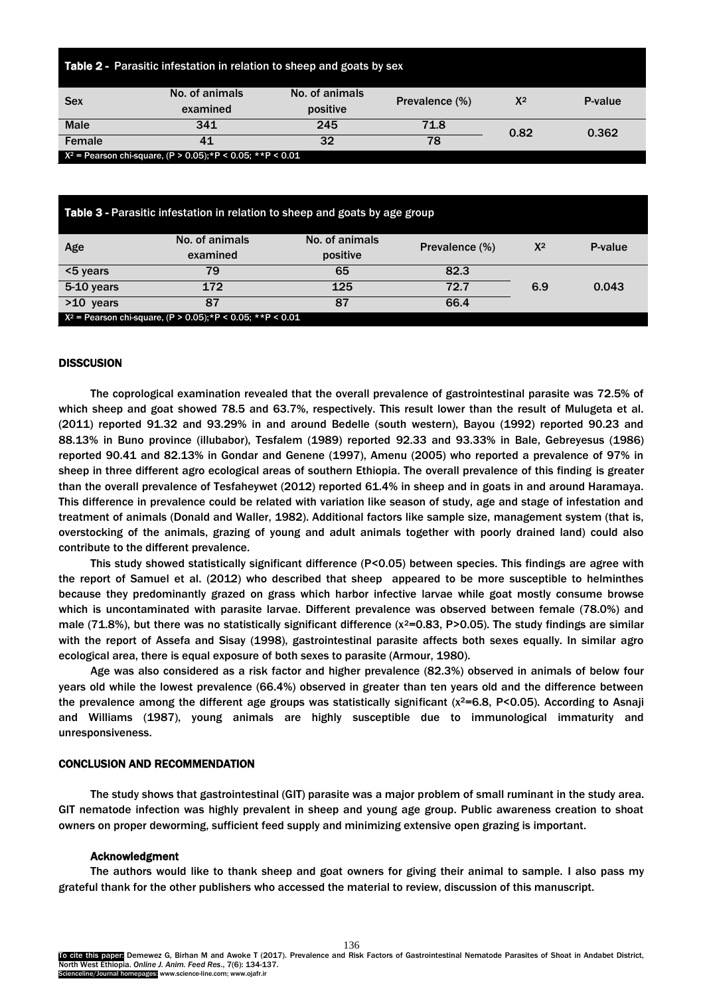| Table 2 - Parasitic infestation in relation to sheep and goats by sex |                            |                            |                |       |         |  |  |
|-----------------------------------------------------------------------|----------------------------|----------------------------|----------------|-------|---------|--|--|
| <b>Sex</b>                                                            | No. of animals<br>examined | No. of animals<br>positive | Prevalence (%) | $X^2$ | P-value |  |  |
| <b>Male</b>                                                           | 341                        | 245                        | 71.8           | 0.82  | 0.362   |  |  |
| Female                                                                | 41                         | 32                         | 78             |       |         |  |  |
| $X^2$ = Pearson chi-square, (P > 0.05); *P < 0.05; **P < 0.01         |                            |                            |                |       |         |  |  |

| Table 3 - Parasitic infestation in relation to sheep and goats by age group |                                                               |                            |                |       |         |  |  |
|-----------------------------------------------------------------------------|---------------------------------------------------------------|----------------------------|----------------|-------|---------|--|--|
| Age                                                                         | No. of animals<br>examined                                    | No. of animals<br>positive | Prevalence (%) | $X^2$ | P-value |  |  |
| <5 years                                                                    | 79                                                            | 65                         | 82.3           |       |         |  |  |
| 5-10 years                                                                  | 172                                                           | 125                        | 72.7           | 6.9   | 0.043   |  |  |
| $>10$ years                                                                 | 87                                                            | 87                         | 66.4           |       |         |  |  |
|                                                                             | $X^2$ = Pearson chi-square, (P > 0.05); *P < 0.05; **P < 0.01 |                            |                |       |         |  |  |

# **DISSCUSION**

The coprological examination revealed that the overall prevalence of gastrointestinal parasite was 72.5% of which sheep and goat showed 78.5 and 63.7%, respectively. This result lower than the result of [Mulugeta et al.](#page-3-0) [\(2011\)](#page-3-0) reported 91.32 and 93.29% in and around Bedelle (south western), [Bayou \(1992\)](#page-3-0) reported 90.23 and 88.13% in Buno province (illubabor), [Tesfalem \(1989](#page-3-0)) reported 92.33 and 93.33% in Bale, [Gebreyesus \(1986](#page-3-0)) reported 90.41 and 82.13% in [Gondar and Genene \(1997\), Amenu \(2005](#page-3-0)) who reported a prevalence of 97% in sheep in three different agro ecological areas of southern Ethiopia. The overall prevalence of this finding is greater than the overall prevalence of [Tesfaheywet \(2012\)](#page-3-0) reported 61.4% in sheep and in goats in and around Haramaya. This difference in prevalence could be related with variation like season of study, age and stage of infestation and treatment of animals ([Donald and Waller, 1982\)](#page-3-0). Additional factors like sample size, management system (that is, overstocking of the animals, grazing of young and adult animals together with poorly drained land) could also contribute to the different prevalence.

This study showed statistically significant difference (P<0.05) between species. This findings are agree with the report of [Samuel](#page-3-0) et al. (2012) who described that sheep appeared to be more susceptible to helminthes because they predominantly grazed on grass which harbor infective larvae while goat mostly consume browse which is uncontaminated with parasite larvae. Different prevalence was observed between female (78.0%) and male (71.8%), but there was no statistically significant difference ( $x^2$ =0.83, P>0.05). The study findings are similar with the report of [Assefa and Sisay \(1998\),](#page-3-0) gastrointestinal parasite affects both sexes equally. In similar agro ecological area, there is equal exposure of both sexes to parasite [\(Armour, 1980\).](#page-3-0)

Age was also considered as a risk factor and higher prevalence (82.3%) observed in animals of below four years old while the lowest prevalence (66.4%) observed in greater than ten years old and the difference between the prevalence among the different age groups was statistically significant ( $x^2$ =6.8, P<0.05). According to Asnaji and [Williams \(1987\),](#page-3-0) young animals are highly susceptible due to immunological immaturity and unresponsiveness.

# CONCLUSION AND RECOMMENDATION

The study shows that gastrointestinal (GIT) parasite was a major problem of small ruminant in the study area. GIT nematode infection was highly prevalent in sheep and young age group. Public awareness creation to shoat owners on proper deworming, sufficient feed supply and minimizing extensive open grazing is important.

#### Acknowledgment

The authors would like to thank sheep and goat owners for giving their animal to sample. I also pass my grateful thank for the other publishers who accessed the material to review, discussion of this manuscript.